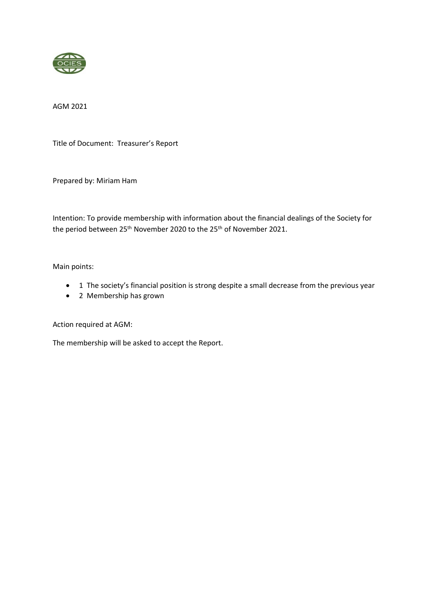

AGM 2021

Title of Document: Treasurer's Report

Prepared by: Miriam Ham

Intention: To provide membership with information about the financial dealings of the Society for the period between 25<sup>th</sup> November 2020 to the 25<sup>th</sup> of November 2021.

Main points:

- 1 The society's financial position is strong despite a small decrease from the previous year
- 2 Membership has grown

Action required at AGM:

The membership will be asked to accept the Report.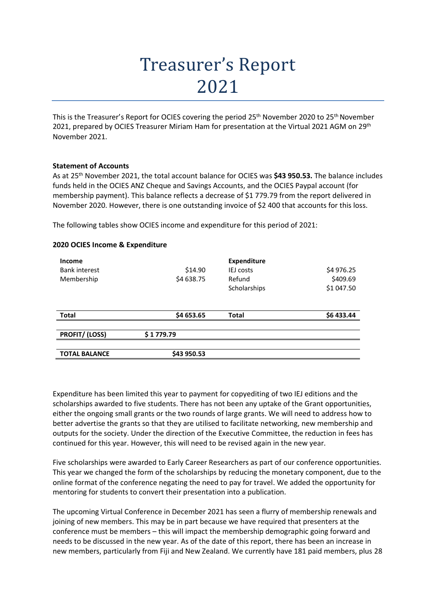## Treasurer's Report 2021

This is the Treasurer's Report for OCIES covering the period 25<sup>th</sup> November 2020 to 25<sup>th</sup> November 2021, prepared by OCIES Treasurer Miriam Ham for presentation at the Virtual 2021 AGM on 29<sup>th</sup> November 2021.

## **Statement of Accounts**

As at 25th November 2021, the total account balance for OCIES was **\$43 950.53.** The balance includes funds held in the OCIES ANZ Cheque and Savings Accounts, and the OCIES Paypal account (for membership payment). This balance reflects a decrease of \$1 779.79 from the report delivered in November 2020. However, there is one outstanding invoice of \$2 400 that accounts for this loss.

The following tables show OCIES income and expenditure for this period of 2021:

| Income<br><b>Bank interest</b><br>Membership | \$14.90<br>\$4 638.75 | <b>Expenditure</b><br><b>IEJ</b> costs<br>Refund<br>Scholarships | \$4 976.25<br>\$409.69<br>\$1 047.50 |
|----------------------------------------------|-----------------------|------------------------------------------------------------------|--------------------------------------|
| <b>Total</b>                                 | \$4 653.65            | <b>Total</b>                                                     | \$6 433.44                           |
| <b>PROFIT/ (LOSS)</b>                        | \$1779.79             |                                                                  |                                      |
| <b>TOTAL BALANCE</b>                         | \$43 950.53           |                                                                  |                                      |

## **2020 OCIES Income & Expenditure**

Expenditure has been limited this year to payment for copyediting of two IEJ editions and the scholarships awarded to five students. There has not been any uptake of the Grant opportunities, either the ongoing small grants or the two rounds of large grants. We will need to address how to better advertise the grants so that they are utilised to facilitate networking, new membership and outputs for the society. Under the direction of the Executive Committee, the reduction in fees has continued for this year. However, this will need to be revised again in the new year.

Five scholarships were awarded to Early Career Researchers as part of our conference opportunities. This year we changed the form of the scholarships by reducing the monetary component, due to the online format of the conference negating the need to pay for travel. We added the opportunity for mentoring for students to convert their presentation into a publication.

The upcoming Virtual Conference in December 2021 has seen a flurry of membership renewals and joining of new members. This may be in part because we have required that presenters at the conference must be members – this will impact the membership demographic going forward and needs to be discussed in the new year. As of the date of this report, there has been an increase in new members, particularly from Fiji and New Zealand. We currently have 181 paid members, plus 28